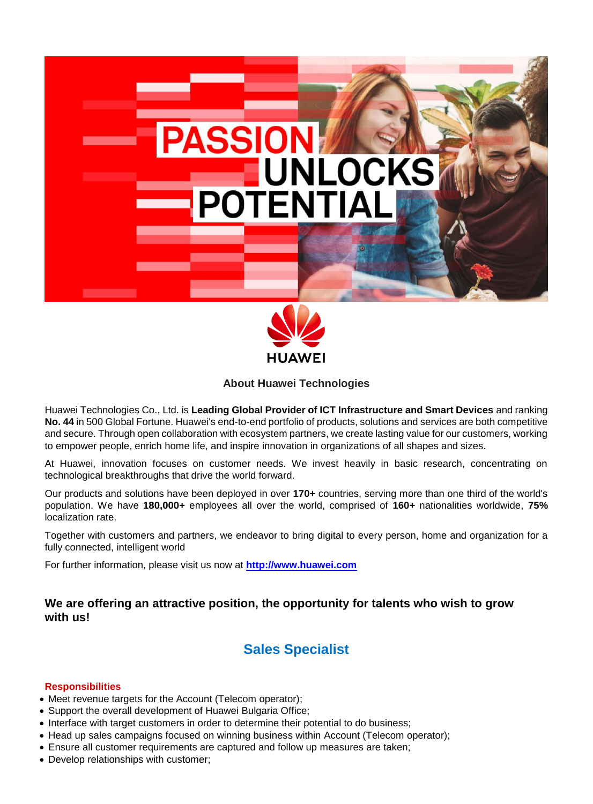

**About Huawei Technologies**

Huawei Technologies Co., Ltd. is **Leading Global Provider of ICT Infrastructure and Smart Devices** and ranking **No. 44** in 500 Global Fortune. Huawei's end-to-end portfolio of products, solutions and services are both competitive and secure. Through open collaboration with ecosystem partners, we create lasting value for our customers, working to empower people, enrich home life, and inspire innovation in organizations of all shapes and sizes.

At Huawei, innovation focuses on customer needs. We invest heavily in basic research, concentrating on technological breakthroughs that drive the world forward.

Our products and solutions have been deployed in over **170+** countries, serving more than one third of the world's population. We have **180,000+** employees all over the world, comprised of **160+** nationalities worldwide, **75%** localization rate.

Together with customers and partners, we endeavor to bring digital to every person, home and organization for a fully connected, intelligent world

For further information, please visit us now at **[http://www.huawei.com](http://www.huawei.com/)**

## **We are offering an attractive position, the opportunity for talents who wish to grow with us!**

# **Sales Specialist**

#### **Responsibilities**

- Meet revenue targets for the Account (Telecom operator);
- Support the overall development of Huawei Bulgaria Office;
- Interface with target customers in order to determine their potential to do business;
- Head up sales campaigns focused on winning business within Account (Telecom operator);
- Ensure all customer requirements are captured and follow up measures are taken;
- Develop relationships with customer;